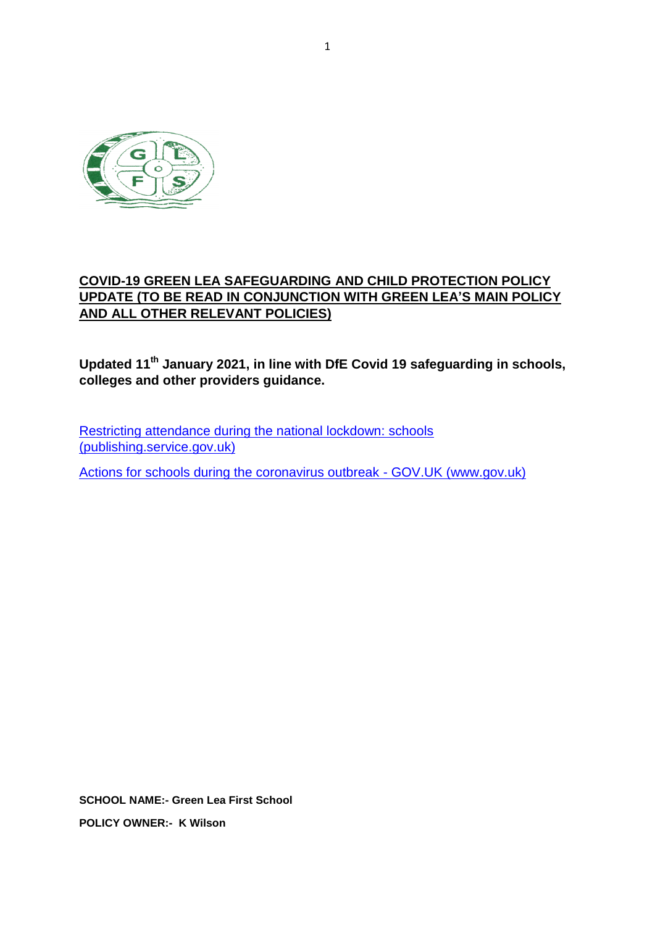

# **COVID-19 GREEN LEA SAFEGUARDING AND CHILD PROTECTION POLICY UPDATE (TO BE READ IN CONJUNCTION WITH GREEN LEA'S MAIN POLICY AND ALL OTHER RELEVANT POLICIES)**

**Updated 11th January 2021, in line with DfE Covid 19 safeguarding in schools, colleges and other providers guidance.**

[Restricting attendance during the national lockdown: schools](https://assets.publishing.service.gov.uk/government/uploads/system/uploads/attachment_data/file/950510/School_national_restrictions_guidance.pdf)  [\(publishing.service.gov.uk\)](https://assets.publishing.service.gov.uk/government/uploads/system/uploads/attachment_data/file/950510/School_national_restrictions_guidance.pdf)

[Actions for schools during the coronavirus outbreak -](https://www.gov.uk/government/publications/actions-for-schools-during-the-coronavirus-outbreak) GOV.UK (www.gov.uk)

**SCHOOL NAME:- Green Lea First School POLICY OWNER:- K Wilson**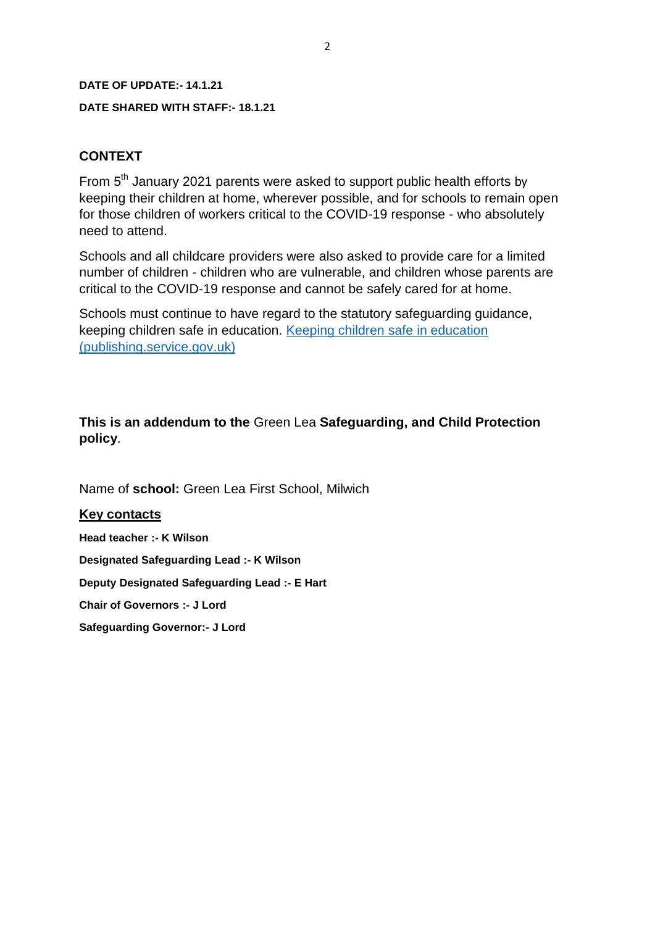#### **DATE OF UPDATE:- 14.1.21**

#### **DATE SHARED WITH STAFF:- 18.1.21**

#### **CONTEXT**

From 5<sup>th</sup> January 2021 parents were asked to support public health efforts by keeping their children at home, wherever possible, and for schools to remain open for those children of workers critical to the COVID-19 response - who absolutely need to attend.

Schools and all childcare providers were also asked to provide care for a limited number of children - children who are vulnerable, and children whose parents are critical to the COVID-19 response and cannot be safely cared for at home.

Schools must continue to have regard to the statutory safeguarding guidance, keeping children safe in education. [Keeping children safe in education](https://assets.publishing.service.gov.uk/government/uploads/system/uploads/attachment_data/file/912592/Keeping_children_safe_in_education_Sep_2020.pdf)  [\(publishing.service.gov.uk\)](https://assets.publishing.service.gov.uk/government/uploads/system/uploads/attachment_data/file/912592/Keeping_children_safe_in_education_Sep_2020.pdf)

### **This is an addendum to the** Green Lea **Safeguarding, and Child Protection policy**.

Name of **school:** Green Lea First School, Milwich

#### **Key contacts**

**Head teacher :- K Wilson Designated Safeguarding Lead :- K Wilson**

**Deputy Designated Safeguarding Lead :- E Hart**

**Chair of Governors :- J Lord**

**Safeguarding Governor:- J Lord**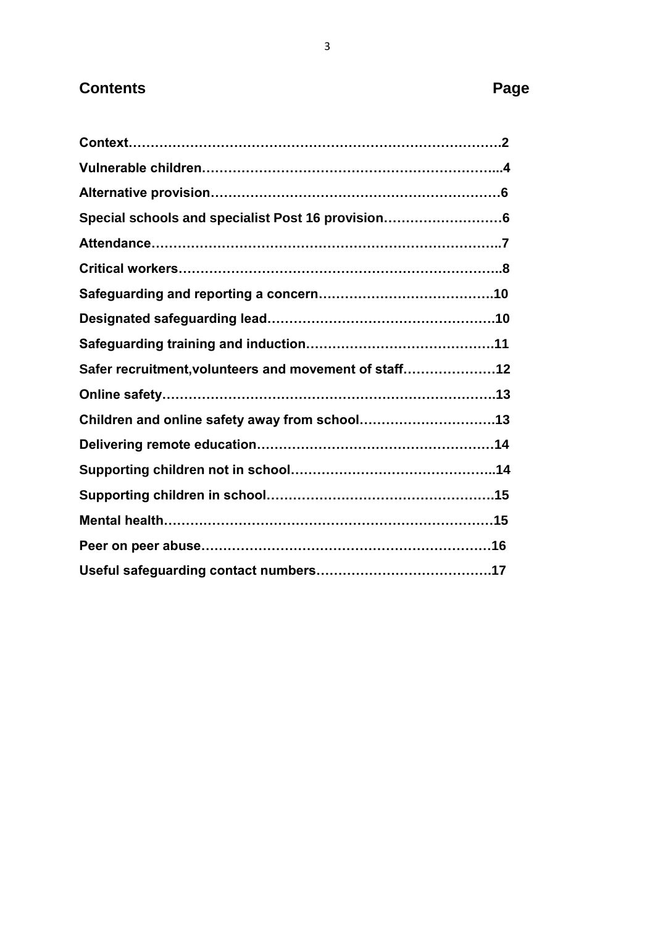# **Contents** Page

| Special schools and specialist Post 16 provision6     |
|-------------------------------------------------------|
|                                                       |
|                                                       |
|                                                       |
|                                                       |
|                                                       |
|                                                       |
| Safer recruitment, volunteers and movement of staff12 |
|                                                       |
|                                                       |
|                                                       |
|                                                       |
|                                                       |
|                                                       |
|                                                       |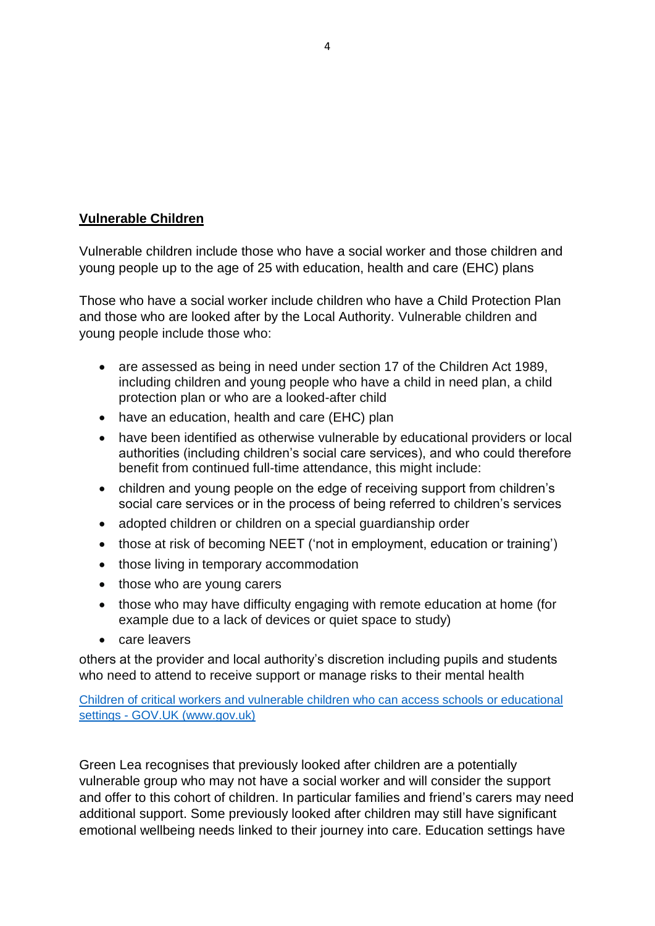# **Vulnerable Children**

Vulnerable children include those who have a social worker and those children and young people up to the age of 25 with education, health and care (EHC) plans

Those who have a social worker include children who have a Child Protection Plan and those who are looked after by the Local Authority. Vulnerable children and young people include those who:

- are assessed as being in need under section 17 of the Children Act 1989, including children and young people who have a child in need plan, a child protection plan or who are a looked-after child
- have an education, health and care (EHC) plan
- have been identified as otherwise vulnerable by educational providers or local authorities (including children's social care services), and who could therefore benefit from continued full-time attendance, this might include:
- children and young people on the edge of receiving support from children's social care services or in the process of being referred to children's services
- adopted children or children on a special guardianship order
- those at risk of becoming NEET ('not in employment, education or training')
- those living in temporary accommodation
- those who are young carers
- those who may have difficulty engaging with remote education at home (for example due to a lack of devices or quiet space to study)
- care leavers

others at the provider and local authority's discretion including pupils and students who need to attend to receive support or manage risks to their mental health

Children of critical workers and vulnerable children who can access schools or educational settings - GOV.UK (www.gov.uk)

Green Lea recognises that previously looked after children are a potentially vulnerable group who may not have a social worker and will consider the support and offer to this cohort of children. In particular families and friend's carers may need additional support. Some previously looked after children may still have significant emotional wellbeing needs linked to their journey into care. Education settings have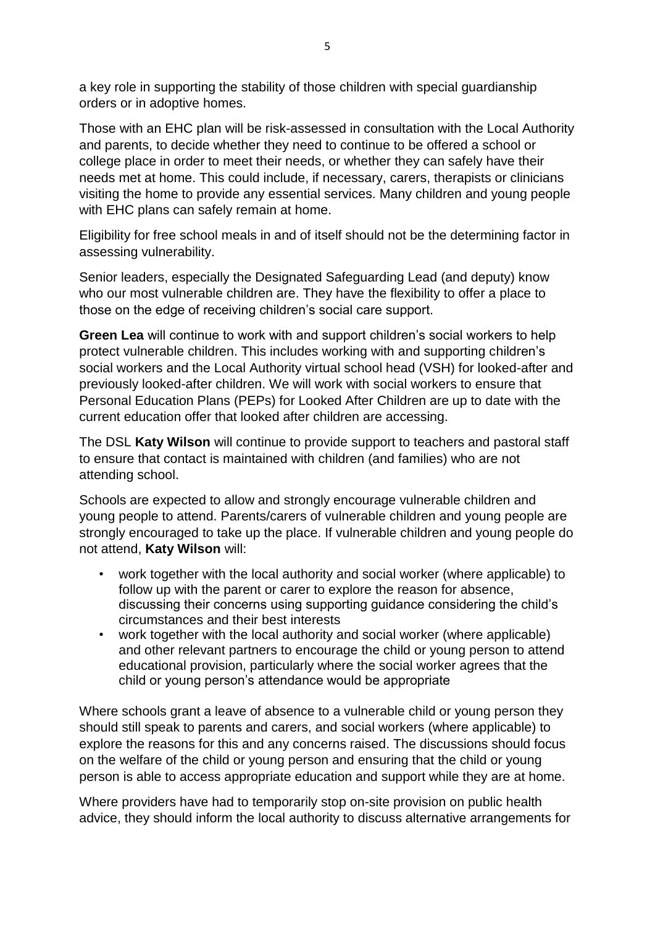a key role in supporting the stability of those children with special guardianship orders or in adoptive homes.

Those with an EHC plan will be risk-assessed in consultation with the Local Authority and parents, to decide whether they need to continue to be offered a school or college place in order to meet their needs, or whether they can safely have their needs met at home. This could include, if necessary, carers, therapists or clinicians visiting the home to provide any essential services. Many children and young people with EHC plans can safely remain at home.

Eligibility for free school meals in and of itself should not be the determining factor in assessing vulnerability.

Senior leaders, especially the Designated Safeguarding Lead (and deputy) know who our most vulnerable children are. They have the flexibility to offer a place to those on the edge of receiving children's social care support.

**Green Lea** will continue to work with and support children's social workers to help protect vulnerable children. This includes working with and supporting children's social workers and the Local Authority virtual school head (VSH) for looked-after and previously looked-after children. We will work with social workers to ensure that Personal Education Plans (PEPs) for Looked After Children are up to date with the current education offer that looked after children are accessing.

The DSL **Katy Wilson** will continue to provide support to teachers and pastoral staff to ensure that contact is maintained with children (and families) who are not attending school.

Schools are expected to allow and strongly encourage vulnerable children and young people to attend. Parents/carers of vulnerable children and young people are strongly encouraged to take up the place. If vulnerable children and young people do not attend, **Katy Wilson** will:

- work together with the local authority and social worker (where applicable) to follow up with the parent or carer to explore the reason for absence, discussing their concerns using supporting guidance considering the child's circumstances and their best interests
- work together with the local authority and social worker (where applicable) and other relevant partners to encourage the child or young person to attend educational provision, particularly where the social worker agrees that the child or young person's attendance would be appropriate

Where schools grant a leave of absence to a vulnerable child or young person they should still speak to parents and carers, and social workers (where applicable) to explore the reasons for this and any concerns raised. The discussions should focus on the welfare of the child or young person and ensuring that the child or young person is able to access appropriate education and support while they are at home.

Where providers have had to temporarily stop on-site provision on public health advice, they should inform the local authority to discuss alternative arrangements for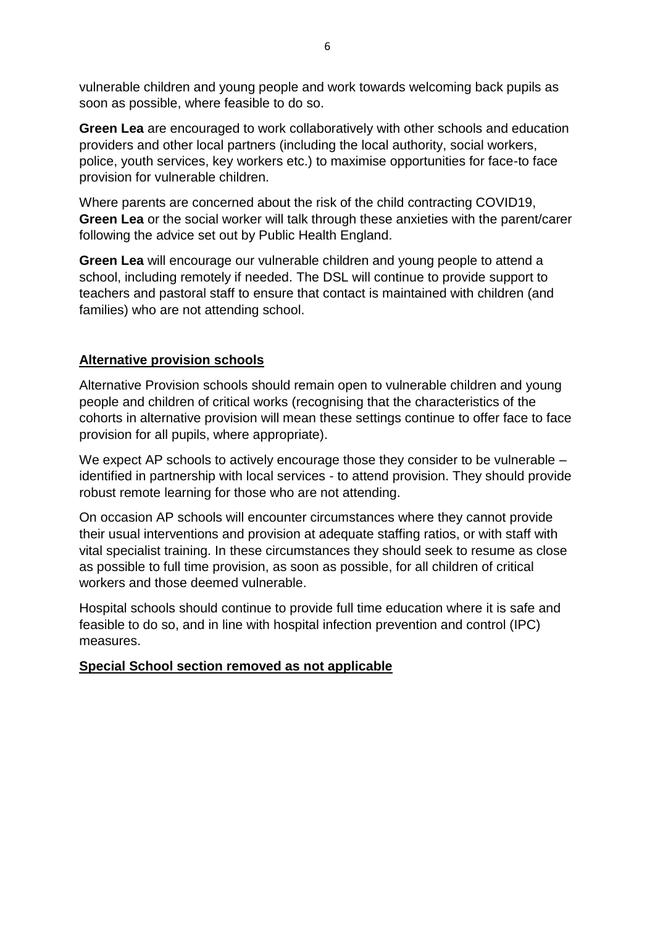vulnerable children and young people and work towards welcoming back pupils as soon as possible, where feasible to do so.

**Green Lea** are encouraged to work collaboratively with other schools and education providers and other local partners (including the local authority, social workers, police, youth services, key workers etc.) to maximise opportunities for face-to face provision for vulnerable children.

Where parents are concerned about the risk of the child contracting COVID19, **Green Lea** or the social worker will talk through these anxieties with the parent/carer following the advice set out by Public Health England.

**Green Lea** will encourage our vulnerable children and young people to attend a school, including remotely if needed. The DSL will continue to provide support to teachers and pastoral staff to ensure that contact is maintained with children (and families) who are not attending school.

### **Alternative provision schools**

Alternative Provision schools should remain open to vulnerable children and young people and children of critical works (recognising that the characteristics of the cohorts in alternative provision will mean these settings continue to offer face to face provision for all pupils, where appropriate).

We expect AP schools to actively encourage those they consider to be vulnerable – identified in partnership with local services - to attend provision. They should provide robust remote learning for those who are not attending.

On occasion AP schools will encounter circumstances where they cannot provide their usual interventions and provision at adequate staffing ratios, or with staff with vital specialist training. In these circumstances they should seek to resume as close as possible to full time provision, as soon as possible, for all children of critical workers and those deemed vulnerable.

Hospital schools should continue to provide full time education where it is safe and feasible to do so, and in line with hospital infection prevention and control (IPC) measures.

#### **Special School section removed as not applicable**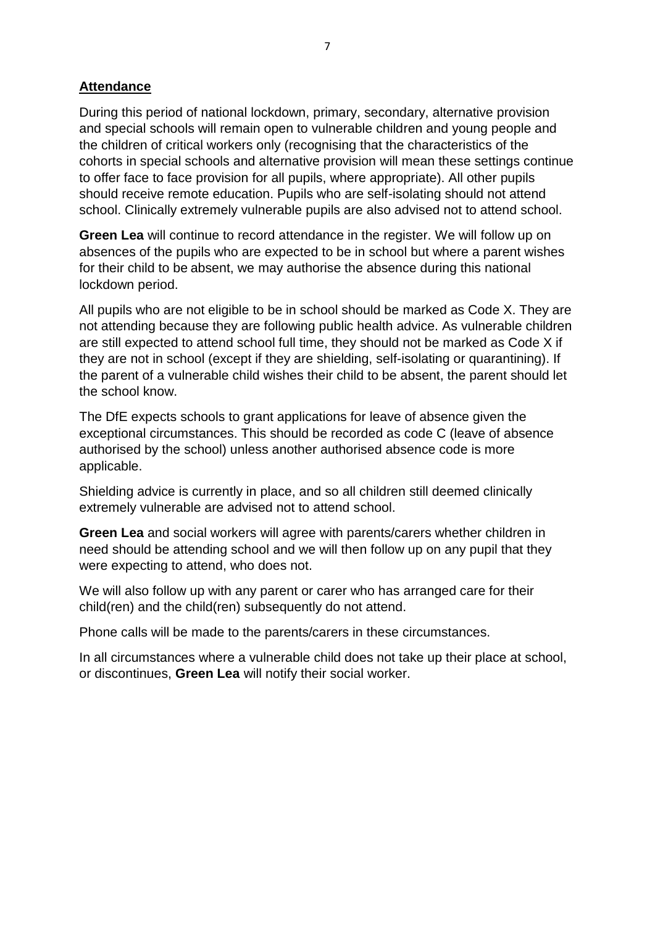# **Attendance**

During this period of national lockdown, primary, secondary, alternative provision and special schools will remain open to vulnerable children and young people and the children of critical workers only (recognising that the characteristics of the cohorts in special schools and alternative provision will mean these settings continue to offer face to face provision for all pupils, where appropriate). All other pupils should receive remote education. Pupils who are self-isolating should not attend school. Clinically extremely vulnerable pupils are also advised not to attend school.

**Green Lea** will continue to record attendance in the register. We will follow up on absences of the pupils who are expected to be in school but where a parent wishes for their child to be absent, we may authorise the absence during this national lockdown period.

All pupils who are not eligible to be in school should be marked as Code X. They are not attending because they are following public health advice. As vulnerable children are still expected to attend school full time, they should not be marked as Code X if they are not in school (except if they are shielding, self-isolating or quarantining). If the parent of a vulnerable child wishes their child to be absent, the parent should let the school know.

The DfE expects schools to grant applications for leave of absence given the exceptional circumstances. This should be recorded as code C (leave of absence authorised by the school) unless another authorised absence code is more applicable.

Shielding advice is currently in place, and so all children still deemed clinically extremely vulnerable are advised not to attend school.

**Green Lea** and social workers will agree with parents/carers whether children in need should be attending school and we will then follow up on any pupil that they were expecting to attend, who does not.

We will also follow up with any parent or carer who has arranged care for their child(ren) and the child(ren) subsequently do not attend.

Phone calls will be made to the parents/carers in these circumstances.

In all circumstances where a vulnerable child does not take up their place at school, or discontinues, **Green Lea** will notify their social worker.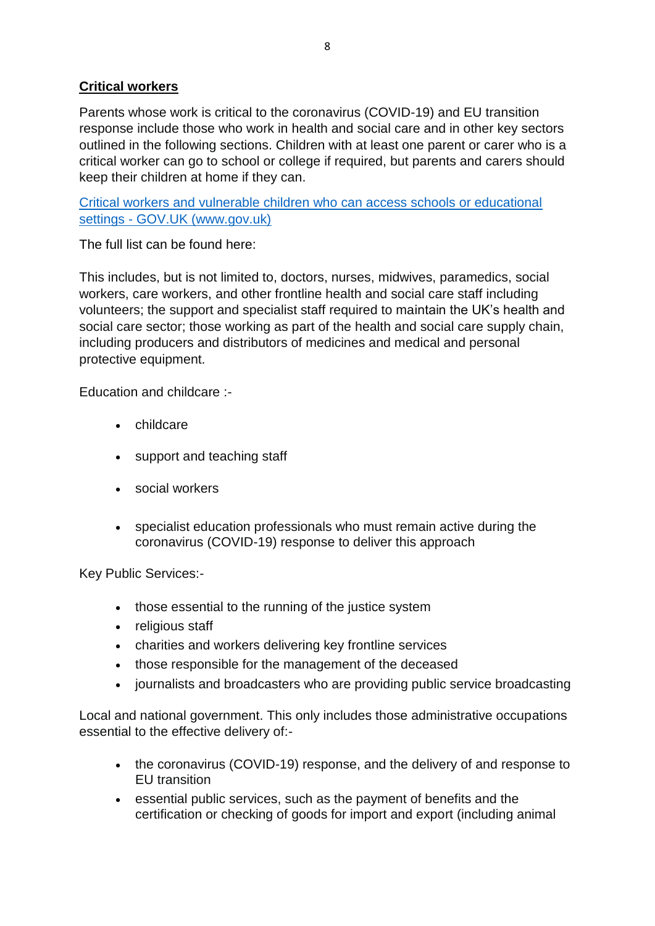# **Critical workers**

Parents whose work is critical to the coronavirus (COVID-19) and EU transition response include those who work in health and social care and in other key sectors outlined in the following sections. Children with at least one parent or carer who is a critical worker can go to school or college if required, but parents and carers should keep their children at home if they can.

[Critical workers and vulnerable children who can access schools or educational](https://www.gov.uk/government/publications/coronavirus-covid-19-maintaining-educational-provision?utm_source=4%20January%202021%20C19&utm_medium=Daily%20Email%20C19&utm_campaign=DfE%20C19)  settings - [GOV.UK \(www.gov.uk\)](https://www.gov.uk/government/publications/coronavirus-covid-19-maintaining-educational-provision?utm_source=4%20January%202021%20C19&utm_medium=Daily%20Email%20C19&utm_campaign=DfE%20C19)

The full list can be found here:

This includes, but is not limited to, doctors, nurses, midwives, paramedics, social workers, care workers, and other frontline health and social care staff including volunteers; the support and specialist staff required to maintain the UK's health and social care sector; those working as part of the health and social care supply chain, including producers and distributors of medicines and medical and personal protective equipment.

Education and childcare :-

- childcare
- support and teaching staff
- social workers
- specialist education professionals who must remain active during the coronavirus (COVID-19) response to deliver this approach

Key Public Services:-

- those essential to the running of the justice system
- religious staff
- charities and workers delivering key frontline services
- those responsible for the management of the deceased
- journalists and broadcasters who are providing public service broadcasting

Local and national government. This only includes those administrative occupations essential to the effective delivery of:-

- the coronavirus (COVID-19) response, and the delivery of and response to EU transition
- essential public services, such as the payment of benefits and the certification or checking of goods for import and export (including animal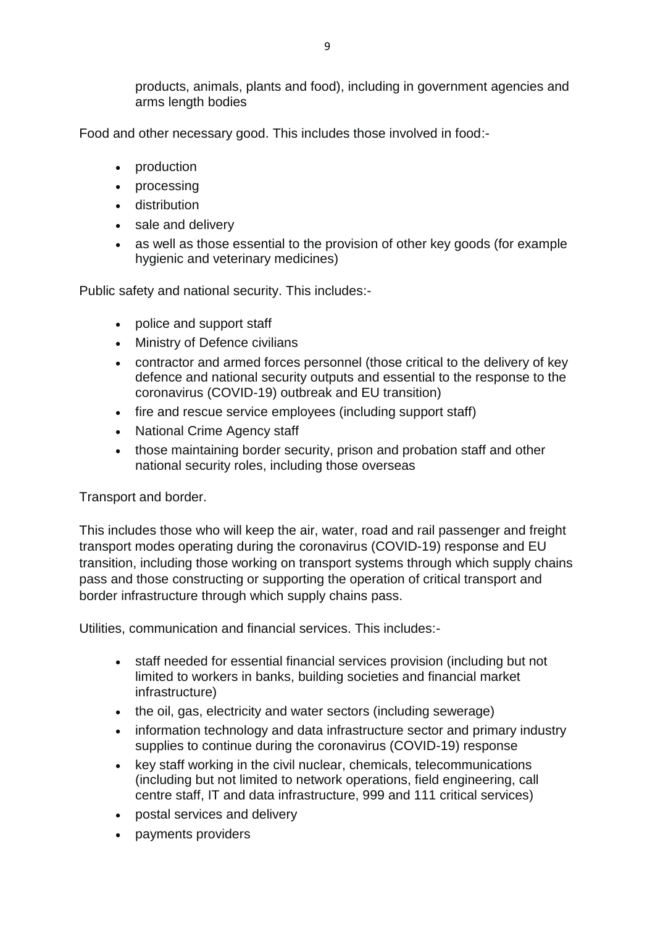products, animals, plants and food), including in government agencies and arms length bodies

Food and other necessary good. This includes those involved in food:-

- production
- processing
- distribution
- sale and delivery
- as well as those essential to the provision of other key goods (for example hygienic and veterinary medicines)

Public safety and national security. This includes:-

- police and support staff
- Ministry of Defence civilians
- contractor and armed forces personnel (those critical to the delivery of key defence and national security outputs and essential to the response to the coronavirus (COVID-19) outbreak and EU transition)
- fire and rescue service employees (including support staff)
- National Crime Agency staff
- those maintaining border security, prison and probation staff and other national security roles, including those overseas

# Transport and border.

This includes those who will keep the air, water, road and rail passenger and freight transport modes operating during the coronavirus (COVID-19) response and EU transition, including those working on transport systems through which supply chains pass and those constructing or supporting the operation of critical transport and border infrastructure through which supply chains pass.

Utilities, communication and financial services. This includes:-

- staff needed for essential financial services provision (including but not limited to workers in banks, building societies and financial market infrastructure)
- the oil, gas, electricity and water sectors (including sewerage)
- information technology and data infrastructure sector and primary industry supplies to continue during the coronavirus (COVID-19) response
- key staff working in the civil nuclear, chemicals, telecommunications (including but not limited to network operations, field engineering, call centre staff, IT and data infrastructure, 999 and 111 critical services)
- postal services and delivery
- payments providers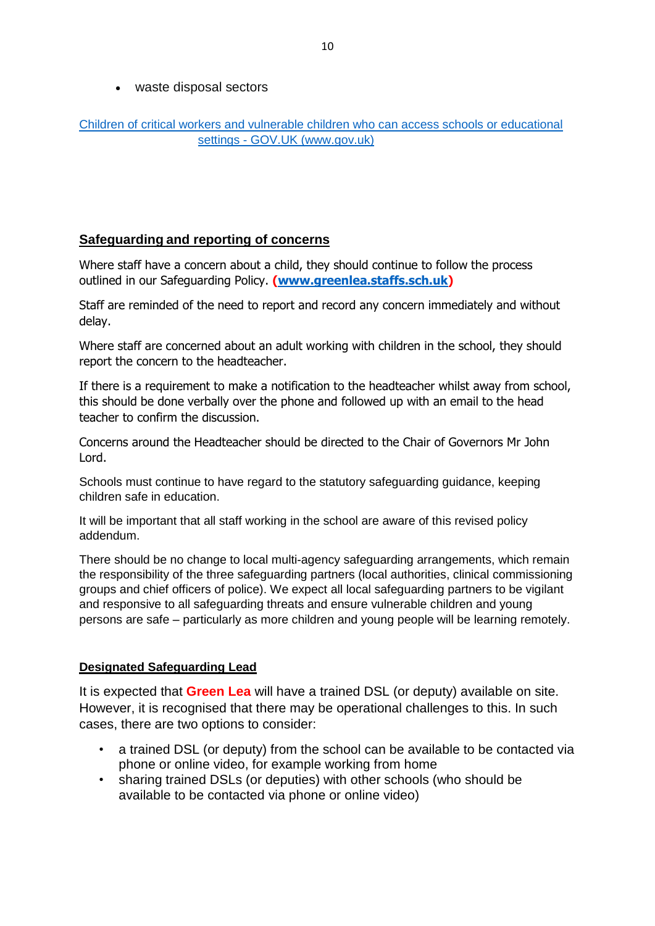waste disposal sectors

### [Children of critical workers and vulnerable children who can access schools or educational](https://www.gov.uk/government/publications/coronavirus-covid-19-maintaining-educational-provision/guidance-for-schools-colleges-and-local-authorities-on-maintaining-educational-provision)  settings - GOV.UK [\(www.gov.uk\)](https://www.gov.uk/government/publications/coronavirus-covid-19-maintaining-educational-provision/guidance-for-schools-colleges-and-local-authorities-on-maintaining-educational-provision)

# **Safeguarding and reporting of concerns**

Where staff have a concern about a child, they should continue to follow the process outlined in our Safeguarding Policy. **[\(www.greenlea.staffs.sch.uk\)](http://www.greenlea.staffs.sch.uk/)** 

Staff are reminded of the need to report and record any concern immediately and without delay.

Where staff are concerned about an adult working with children in the school, they should report the concern to the headteacher.

If there is a requirement to make a notification to the headteacher whilst away from school, this should be done verbally over the phone and followed up with an email to the head teacher to confirm the discussion.

Concerns around the Headteacher should be directed to the Chair of Governors Mr John Lord.

Schools must continue to have regard to the statutory safeguarding guidance, keeping children safe in education.

It will be important that all staff working in the school are aware of this revised policy addendum.

There should be no change to local multi-agency safeguarding arrangements, which remain the responsibility of the three safeguarding partners (local authorities, clinical commissioning groups and chief officers of police). We expect all local safeguarding partners to be vigilant and responsive to all safeguarding threats and ensure vulnerable children and young persons are safe – particularly as more children and young people will be learning remotely.

#### **Designated Safeguarding Lead**

It is expected that **Green Lea** will have a trained DSL (or deputy) available on site. However, it is recognised that there may be operational challenges to this. In such cases, there are two options to consider:

- a trained DSL (or deputy) from the school can be available to be contacted via phone or online video, for example working from home
- sharing trained DSLs (or deputies) with other schools (who should be available to be contacted via phone or online video)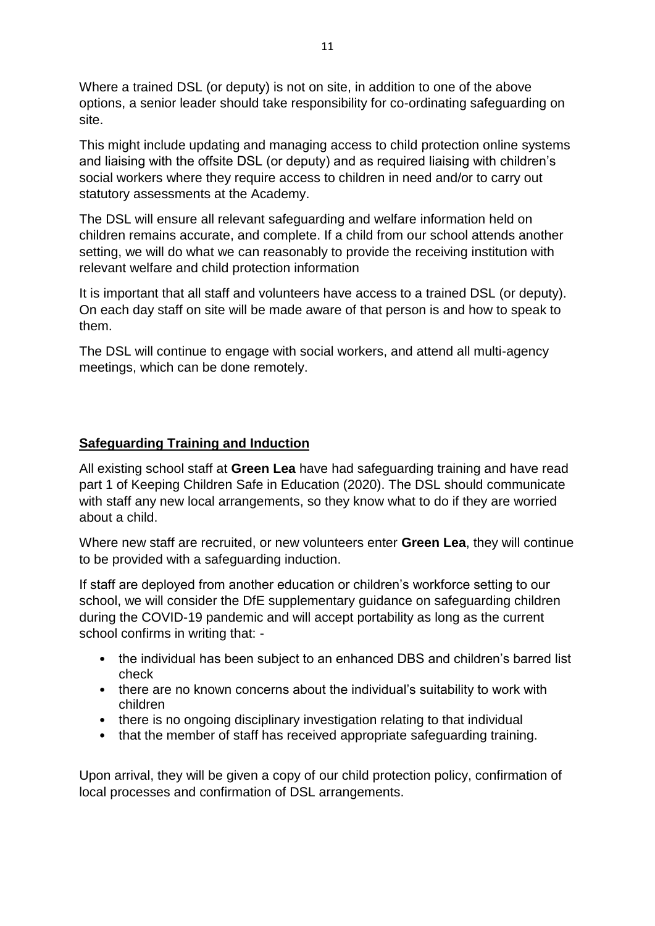Where a trained DSL (or deputy) is not on site, in addition to one of the above options, a senior leader should take responsibility for co-ordinating safeguarding on site.

This might include updating and managing access to child protection online systems and liaising with the offsite DSL (or deputy) and as required liaising with children's social workers where they require access to children in need and/or to carry out statutory assessments at the Academy.

The DSL will ensure all relevant safeguarding and welfare information held on children remains accurate, and complete. If a child from our school attends another setting, we will do what we can reasonably to provide the receiving institution with relevant welfare and child protection information

It is important that all staff and volunteers have access to a trained DSL (or deputy). On each day staff on site will be made aware of that person is and how to speak to them.

The DSL will continue to engage with social workers, and attend all multi-agency meetings, which can be done remotely.

# **Safeguarding Training and Induction**

All existing school staff at **Green Lea** have had safeguarding training and have read part 1 of Keeping Children Safe in Education (2020). The DSL should communicate with staff any new local arrangements, so they know what to do if they are worried about a child.

Where new staff are recruited, or new volunteers enter **Green Lea**, they will continue to be provided with a safeguarding induction.

If staff are deployed from another education or children's workforce setting to our school, we will consider the DfE supplementary guidance on safeguarding children during the COVID-19 pandemic and will accept portability as long as the current school confirms in writing that: -

- the individual has been subject to an enhanced DBS and children's barred list check
- there are no known concerns about the individual's suitability to work with children
- there is no ongoing disciplinary investigation relating to that individual
- that the member of staff has received appropriate safeguarding training.

Upon arrival, they will be given a copy of our child protection policy, confirmation of local processes and confirmation of DSL arrangements.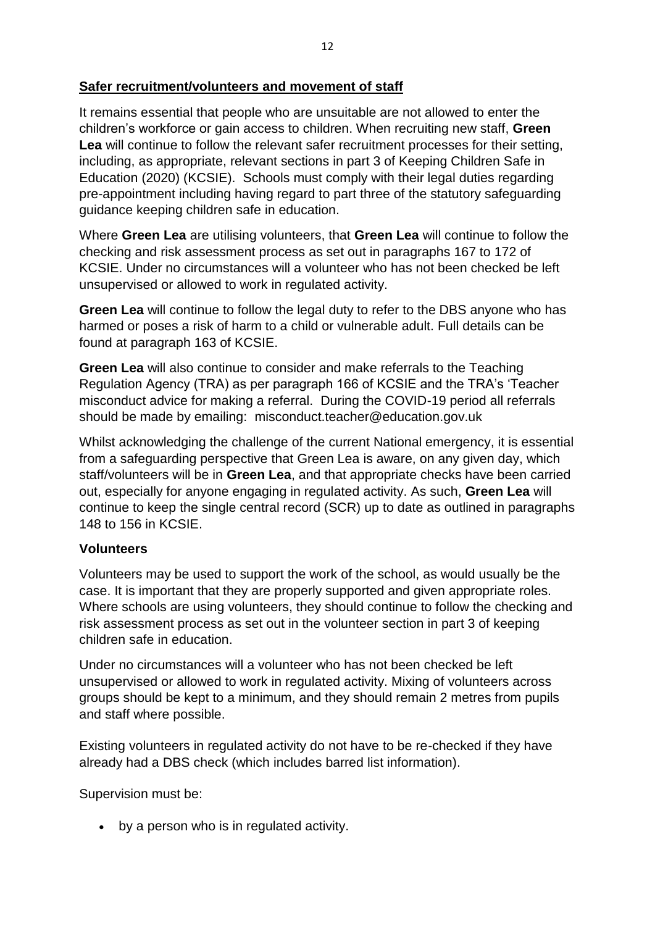It remains essential that people who are unsuitable are not allowed to enter the children's workforce or gain access to children. When recruiting new staff, **Green Lea** will continue to follow the relevant safer recruitment processes for their setting, including, as appropriate, relevant sections in part 3 of Keeping Children Safe in Education (2020) (KCSIE). Schools must comply with their legal duties regarding pre-appointment including having regard to part three of the statutory safeguarding guidance keeping children safe in education.

Where **Green Lea** are utilising volunteers, that **Green Lea** will continue to follow the checking and risk assessment process as set out in paragraphs 167 to 172 of KCSIE. Under no circumstances will a volunteer who has not been checked be left unsupervised or allowed to work in regulated activity.

**Green Lea** will continue to follow the legal duty to refer to the DBS anyone who has harmed or poses a risk of harm to a child or vulnerable adult. Full details can be found at paragraph 163 of KCSIE.

**Green Lea** will also continue to consider and make referrals to the Teaching Regulation Agency (TRA) as per paragraph 166 of KCSIE and the TRA's 'Teacher misconduct advice for making a referral. During the COVID-19 period all referrals should be made by emailing: misconduct.teacher@education.gov.uk

Whilst acknowledging the challenge of the current National emergency, it is essential from a safeguarding perspective that Green Lea is aware, on any given day, which staff/volunteers will be in **Green Lea**, and that appropriate checks have been carried out, especially for anyone engaging in regulated activity. As such, **Green Lea** will continue to keep the single central record (SCR) up to date as outlined in paragraphs 148 to 156 in KCSIE.

# **Volunteers**

Volunteers may be used to support the work of the school, as would usually be the case. It is important that they are properly supported and given appropriate roles. Where schools are using volunteers, they should continue to follow the checking and risk assessment process as set out in the volunteer section in part 3 of keeping children safe in education.

Under no circumstances will a volunteer who has not been checked be left unsupervised or allowed to work in regulated activity. Mixing of volunteers across groups should be kept to a minimum, and they should remain 2 metres from pupils and staff where possible.

Existing volunteers in regulated activity do not have to be re-checked if they have already had a DBS check (which includes barred list information).

Supervision must be:

by a person who is in regulated activity.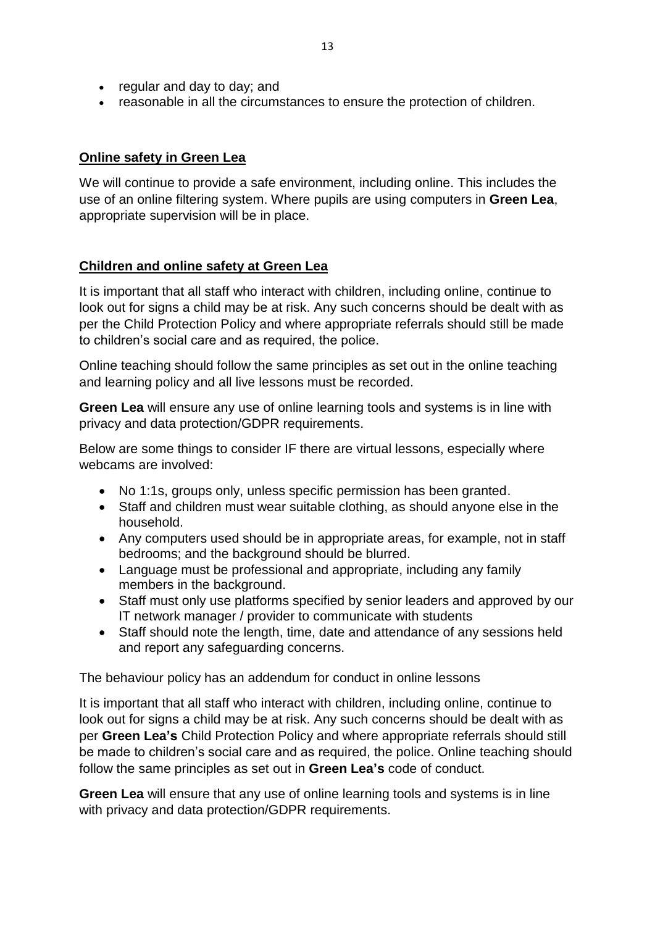- regular and day to day; and
- reasonable in all the circumstances to ensure the protection of children.

# **Online safety in Green Lea**

We will continue to provide a safe environment, including online. This includes the use of an online filtering system. Where pupils are using computers in **Green Lea**, appropriate supervision will be in place.

### **Children and online safety at Green Lea**

It is important that all staff who interact with children, including online, continue to look out for signs a child may be at risk. Any such concerns should be dealt with as per the Child Protection Policy and where appropriate referrals should still be made to children's social care and as required, the police.

Online teaching should follow the same principles as set out in the online teaching and learning policy and all live lessons must be recorded.

**Green Lea** will ensure any use of online learning tools and systems is in line with privacy and data protection/GDPR requirements.

Below are some things to consider IF there are virtual lessons, especially where webcams are involved:

- No 1:1s, groups only, unless specific permission has been granted.
- Staff and children must wear suitable clothing, as should anyone else in the household.
- Any computers used should be in appropriate areas, for example, not in staff bedrooms; and the background should be blurred.
- Language must be professional and appropriate, including any family members in the background.
- Staff must only use platforms specified by senior leaders and approved by our IT network manager / provider to communicate with students
- Staff should note the length, time, date and attendance of any sessions held and report any safeguarding concerns.

The behaviour policy has an addendum for conduct in online lessons

It is important that all staff who interact with children, including online, continue to look out for signs a child may be at risk. Any such concerns should be dealt with as per **Green Lea's** Child Protection Policy and where appropriate referrals should still be made to children's social care and as required, the police. Online teaching should follow the same principles as set out in **Green Lea's** code of conduct.

**Green Lea** will ensure that any use of online learning tools and systems is in line with privacy and data protection/GDPR requirements.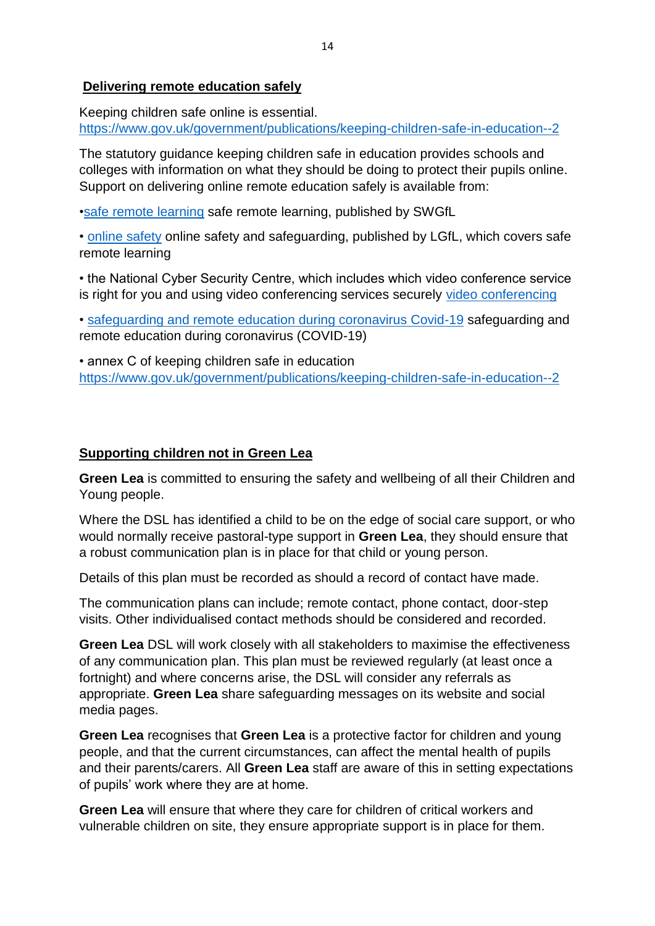#### **Delivering remote education safely**

Keeping children safe online is essential. [https://www.gov.uk/government/publications/keeping-children-safe-in-education--2](file:///C:/Users/gordon.mcburnie.CHASETERRMIS/AppData/Local/Microsoft/Windows/Temporary%20Internet%20Files/Content.IE5/IELXUKG4/keeping%20children%20safe%20in%20education)

The statutory guidance keeping children safe in education provides schools and colleges with information on what they should be doing to protect their pupils online. Support on delivering online remote education safely is available from:

[•safe remote learning](file:///C:/Users/gordon.mcburnie.CHASETERRMIS/AppData/Local/Microsoft/Windows/Temporary%20Internet%20Files/Content.IE5/IELXUKG4/safe%20remote%20learning) safe remote learning, published by SWGfL

• [online safety](file:///C:/Users/gordon.mcburnie.CHASETERRMIS/AppData/Local/Microsoft/Windows/Temporary%20Internet%20Files/Content.IE5/IELXUKG4/online%20safety) online safety and safeguarding, published by LGfL, which covers safe remote learning

• the National Cyber Security Centre, which includes which video conference service is right for you and using video conferencing services securely [video conferencing](file:///C:/Users/gordon.mcburnie.CHASETERRMIS/AppData/Local/Microsoft/Windows/Temporary%20Internet%20Files/Content.IE5/IELXUKG4/video%20conferencing)

• [safeguarding and remote education during coronavirus Covid-19](file:///C:/Users/gordon.mcburnie.CHASETERRMIS/AppData/Local/Microsoft/Windows/Temporary%20Internet%20Files/Content.IE5/IELXUKG4/safeguarding%20and%20remote%20education%20during%20coronavirus%20Covid-19) safeguarding and remote education during coronavirus (COVID-19)

• annex C of keeping children safe in education [https://www.gov.uk/government/publications/keeping-children-safe-in-education--2](file:///C:/Users/gordon.mcburnie.CHASETERRMIS/AppData/Local/Microsoft/Windows/Temporary%20Internet%20Files/Content.IE5/IELXUKG4/keeping%20children%20safe%20in%20education) 

#### **Supporting children not in Green Lea**

**Green Lea** is committed to ensuring the safety and wellbeing of all their Children and Young people.

Where the DSL has identified a child to be on the edge of social care support, or who would normally receive pastoral-type support in **Green Lea**, they should ensure that a robust communication plan is in place for that child or young person.

Details of this plan must be recorded as should a record of contact have made.

The communication plans can include; remote contact, phone contact, door-step visits. Other individualised contact methods should be considered and recorded.

**Green Lea** DSL will work closely with all stakeholders to maximise the effectiveness of any communication plan. This plan must be reviewed regularly (at least once a fortnight) and where concerns arise, the DSL will consider any referrals as appropriate. **Green Lea** share safeguarding messages on its website and social media pages.

**Green Lea** recognises that **Green Lea** is a protective factor for children and young people, and that the current circumstances, can affect the mental health of pupils and their parents/carers. All **Green Lea** staff are aware of this in setting expectations of pupils' work where they are at home.

**Green Lea** will ensure that where they care for children of critical workers and vulnerable children on site, they ensure appropriate support is in place for them.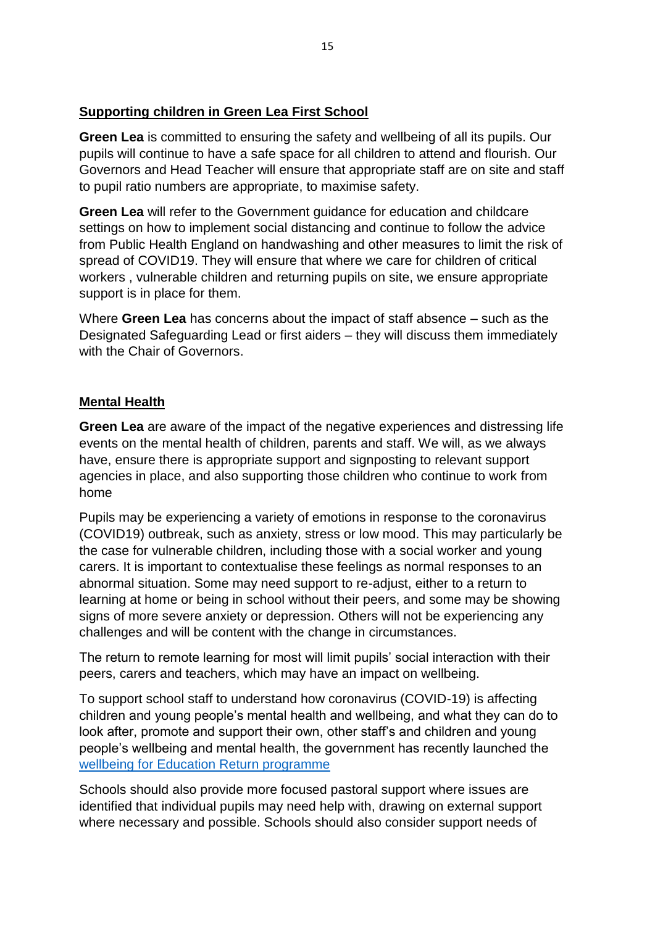# **Supporting children in Green Lea First School**

**Green Lea** is committed to ensuring the safety and wellbeing of all its pupils. Our pupils will continue to have a safe space for all children to attend and flourish. Our Governors and Head Teacher will ensure that appropriate staff are on site and staff to pupil ratio numbers are appropriate, to maximise safety.

**Green Lea** will refer to the Government guidance for education and childcare settings on how to implement social distancing and continue to follow the advice from Public Health England on handwashing and other measures to limit the risk of spread of COVID19. They will ensure that where we care for children of critical workers , vulnerable children and returning pupils on site, we ensure appropriate support is in place for them.

Where **Green Lea** has concerns about the impact of staff absence – such as the Designated Safeguarding Lead or first aiders – they will discuss them immediately with the Chair of Governors.

### **Mental Health**

**Green Lea** are aware of the impact of the negative experiences and distressing life events on the mental health of children, parents and staff. We will, as we always have, ensure there is appropriate support and signposting to relevant support agencies in place, and also supporting those children who continue to work from home

Pupils may be experiencing a variety of emotions in response to the coronavirus (COVID19) outbreak, such as anxiety, stress or low mood. This may particularly be the case for vulnerable children, including those with a social worker and young carers. It is important to contextualise these feelings as normal responses to an abnormal situation. Some may need support to re-adjust, either to a return to learning at home or being in school without their peers, and some may be showing signs of more severe anxiety or depression. Others will not be experiencing any challenges and will be content with the change in circumstances.

The return to remote learning for most will limit pupils' social interaction with their peers, carers and teachers, which may have an impact on wellbeing.

To support school staff to understand how coronavirus (COVID-19) is affecting children and young people's mental health and wellbeing, and what they can do to look after, promote and support their own, other staff's and children and young people's wellbeing and mental health, the government has recently launched the [wellbeing for Education Return programme](file:///C:/Users/gordon.mcburnie.CHASETERRMIS/AppData/Local/Microsoft/Windows/Temporary%20Internet%20Files/Content.IE5/IELXUKG4/wellbeing%20for%20Education%20Return%20programme)

Schools should also provide more focused pastoral support where issues are identified that individual pupils may need help with, drawing on external support where necessary and possible. Schools should also consider support needs of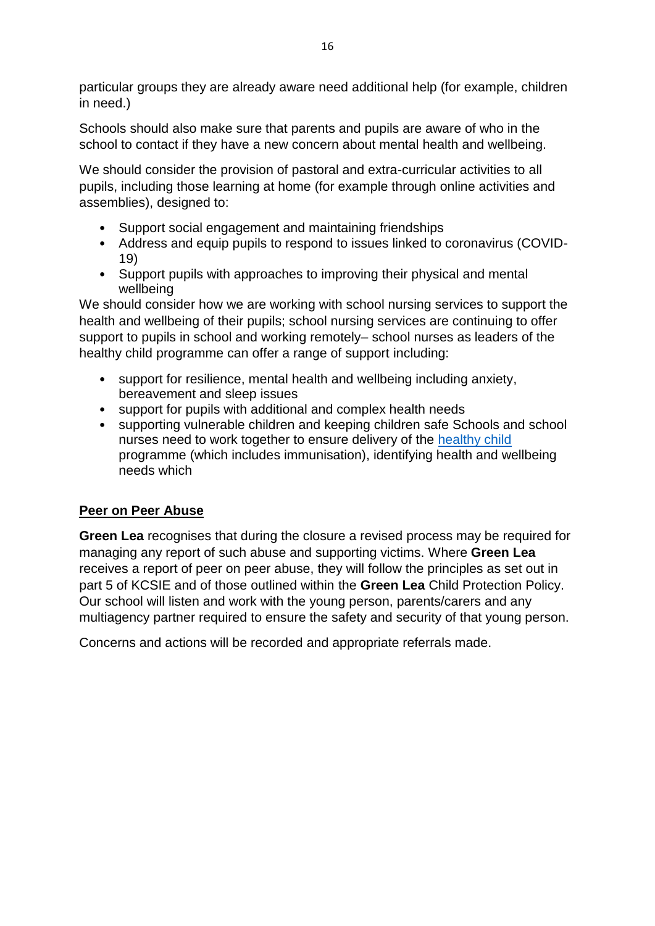particular groups they are already aware need additional help (for example, children in need.)

Schools should also make sure that parents and pupils are aware of who in the school to contact if they have a new concern about mental health and wellbeing.

We should consider the provision of pastoral and extra-curricular activities to all pupils, including those learning at home (for example through online activities and assemblies), designed to:

- Support social engagement and maintaining friendships
- Address and equip pupils to respond to issues linked to coronavirus (COVID-19)
- Support pupils with approaches to improving their physical and mental wellbeing

We should consider how we are working with school nursing services to support the health and wellbeing of their pupils; school nursing services are continuing to offer support to pupils in school and working remotely– school nurses as leaders of the healthy child programme can offer a range of support including:

- support for resilience, mental health and wellbeing including anxiety, bereavement and sleep issues
- support for pupils with additional and complex health needs
- supporting vulnerable children and keeping children safe Schools and school nurses need to work together to ensure delivery of the [healthy child](file:///C:/Users/gordon.mcburnie.CHASETERRMIS/AppData/Local/Microsoft/Windows/Temporary%20Internet%20Files/Content.IE5/IELXUKG4/healthy%20child) programme (which includes immunisation), identifying health and wellbeing needs which

# **Peer on Peer Abuse**

**Green Lea** recognises that during the closure a revised process may be required for managing any report of such abuse and supporting victims. Where **Green Lea** receives a report of peer on peer abuse, they will follow the principles as set out in part 5 of KCSIE and of those outlined within the **Green Lea** Child Protection Policy. Our school will listen and work with the young person, parents/carers and any multiagency partner required to ensure the safety and security of that young person.

Concerns and actions will be recorded and appropriate referrals made.